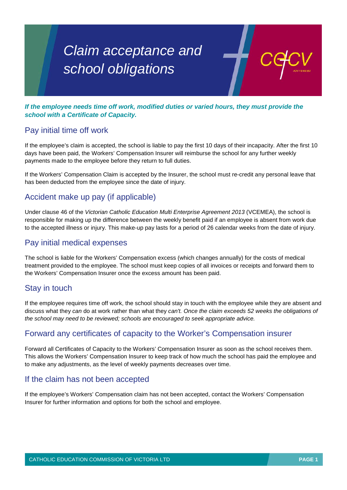# *Claim acceptance and school obligations*

*If the employee needs time off work, modified duties or varied hours, they must provide the school with a Certificate of Capacity.* 

## Pay initial time off work

If the employee's claim is accepted, the school is liable to pay the first 10 days of their incapacity. After the first 10 days have been paid, the Workers' Compensation Insurer will reimburse the school for any further weekly payments made to the employee before they return to full duties.

If the Workers' Compensation Claim is accepted by the Insurer, the school must re-credit any personal leave that has been deducted from the employee since the date of injury.

## Accident make up pay (if applicable)

Under clause 46 of the *Victorian Catholic Education Multi Enterprise Agreement 2013* (VCEMEA), the school is responsible for making up the difference between the weekly benefit paid if an employee is absent from work due to the accepted illness or injury. This make-up pay lasts for a period of 26 calendar weeks from the date of injury.

#### Pay initial medical expenses

The school is liable for the Workers' Compensation excess (which changes annually) for the costs of medical treatment provided to the employee. The school must keep copies of all invoices or receipts and forward them to the Workers' Compensation Insurer once the excess amount has been paid.

## Stay in touch

If the employee requires time off work, the school should stay in touch with the employee while they are absent and discuss what they *can* do at work rather than what they *can't. Once the claim exceeds 52 weeks the obligations of the school may need to be reviewed; schools are encouraged to seek appropriate advice.* 

## Forward any certificates of capacity to the Worker's Compensation insurer

Forward all Certificates of Capacity to the Workers' Compensation Insurer as soon as the school receives them. This allows the Workers' Compensation Insurer to keep track of how much the school has paid the employee and to make any adjustments, as the level of weekly payments decreases over time.

#### If the claim has not been accepted

If the employee's Workers' Compensation claim has not been accepted, contact the Workers' Compensation Insurer for further information and options for both the school and employee.